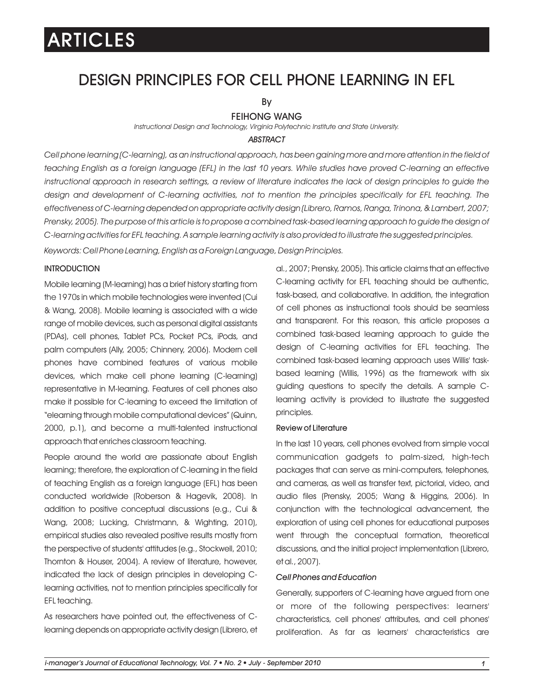# DESIGN PRINCIPLES FOR CELL PHONE LEARNING IN EFL

By

### FEIHONG WANG

*Instructional Design and Technology, Virginia Polytechnic Institute and State University.*

#### *ABSTRACT*

Cell phone learning (C-learning), as an instructional approach, has been gaining more and more attention in the field of teaching English as a foreign language (EFL) in the last 10 years. While studies have proved C-learning an effective *instructional approach in research settings, a review of literature indicates the lack of design principles to guide the design and development of C-learning activities, not to mention the principles specifically for EFL teaching. The effectiveness of C-learning depended on appropriate activity design (Librero, Ramos, Ranga, Trinona, & Lambert, 2007; Prensky, 2005). The purpose of this article is to propose a combined task-based learning approach to guide the design of C-learning activities for EFL teaching. A sample learning activity is also provided to illustrate the suggested principles. Keywords: Cell Phone Learning, English as a Foreign Language, Design Principles.*

### **INTRODUCTION**

Mobile learning (M-learning) has a brief history starting from the 1970s in which mobile technologies were invented (Cui & Wang, 2008). Mobile learning is associated with a wide range of mobile devices, such as personal digital assistants (PDAs), cell phones, Tablet PCs, Pocket PCs, iPods, and palm computers (Ally, 2005; Chinnery, 2006). Modern cell phones have combined features of various mobile devices, which make cell phone learning (C-learning) representative in M-learning. Features of cell phones also make it possible for C-learning to exceed the limitation of "elearning through mobile computational devices" (Quinn, 2000, p.1), and become a multi-talented instructional approach that enriches classroom teaching.

People around the world are passionate about English learning; therefore, the exploration of C-learning in the field of teaching English as a foreign language (EFL) has been conducted worldwide (Roberson & Hagevik, 2008). In addition to positive conceptual discussions (e.g., Cui & Wang, 2008; Lucking, Christmann, & Wighting, 2010), empirical studies also revealed positive results mostly from the perspective of students' attitudes (e.g., Stockwell, 2010; Thornton & Houser, 2004). A review of literature, however, indicated the lack of design principles in developing Clearning activities, not to mention principles specifically for EFL teaching.

As researchers have pointed out, the effectiveness of Clearning depends on appropriate activity design (Librero, et al., 2007; Prensky, 2005). This article claims that an effective C-learning activity for EFL teaching should be authentic, task-based, and collaborative. In addition, the integration of cell phones as instructional tools should be seamless and transparent. For this reason, this article proposes a combined task-based learning approach to guide the design of C-learning activities for EFL teaching. The combined task-based learning approach uses Willis' taskbased learning (Willis, 1996) as the framework with six guiding questions to specify the details. A sample Clearning activity is provided to illustrate the suggested principles.

#### Review of Literature

In the last 10 years, cell phones evolved from simple vocal communication gadgets to palm-sized, high-tech packages that can serve as mini-computers, telephones, and cameras, as well as transfer text, pictorial, video, and audio files (Prensky, 2005; Wang & Higgins, 2006). In conjunction with the technological advancement, the exploration of using cell phones for educational purposes went through the conceptual formation, theoretical discussions, and the initial project implementation (Librero, et al., 2007).

#### *Cell Phones and Education*

Generally, supporters of C-learning have argued from one or more of the following perspectives: learners' characteristics, cell phones' attributes, and cell phones' proliferation. As far as learners' characteristics are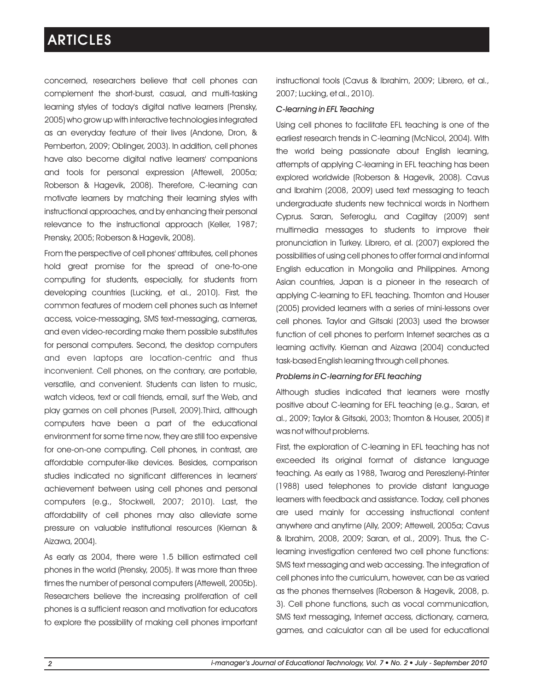concerned, researchers believe that cell phones can complement the short-burst, casual, and multi-tasking learning styles of today's digital native learners (Prensky, 2005) who grow up with interactive technologies integrated as an everyday feature of their lives (Andone, Dron, & Pemberton, 2009; Oblinger, 2003). In addition, cell phones have also become digital native learners' companions and tools for personal expression (Attewell, 2005a; Roberson & Hagevik, 2008). Therefore, C-learning can motivate learners by matching their learning styles with instructional approaches, and by enhancing their personal relevance to the instructional approach (Keller, 1987; Prensky, 2005; Roberson & Hagevik, 2008).

From the perspective of cell phones' attributes, cell phones hold great promise for the spread of one-to-one computing for students, especially, for students from developing countries (Lucking, et al., 2010). First, the common features of modern cell phones such as Internet access, voice-messaging, SMS text-messaging, cameras, and even video-recording make them possible substitutes for personal computers. Second, t he desktop computers play games on cell phones (Pursell, 2009).Third, although computers have been a part of the educational environment for some time now, they are still too expensive for one-on-one computing. Cell phones, in contrast, are affordable computer-like devices. Besides, comparison studies indicated no significant differences in learners' achievement between using cell phones and personal computers (e.g., Stockwell, 2007; 2010). Last, the affordability of cell phones may also alleviate some pressure on valuable institutional resources (Kiernan & Aizawa, 2004). and even laptops are location-centric and thus inconvenient. C ell phones, on the contrary, are portable, versatile, and convenient. Students can listen to music, watch videos, text or call friends, email, surf the Web, and

As early as 2004, there were 1.5 billion estimated cell phones in the world (Prensky, 2005). It was more than three times the number of personal computers (Attewell, 2005b). Researchers believe the increasing proliferation of cell phones is a sufficient reason and motivation for educators to explore the possibility of making cell phones important instructional tools (Cavus & Ibrahim, 2009; Librero, et al., 2007; Lucking, et al., 2010).

### *C-learning in EFL Teaching*

Using cell phones to facilitate EFL teaching is one of the earliest research trends in C-learning (McNicol, 2004). With the world being passionate about English learning, attempts of applying C-learning in EFL teaching has been explored worldwide (Roberson & Hagevik, 2008). Cavus and Ibrahim (2008, 2009) used text messaging to teach undergraduate students new technical words in Northern Cyprus. Saran, Seferoglu, and Cagiltay (2009) sent multimedia messages to students to improve their pronunciation in Turkey. Librero, et al. (2007) explored the possibilities of using cell phones to offer formal and informal English education in Mongolia and Philippines. Among Asian countries, Japan is a pioneer in the research of applying C-learning to EFL teaching. Thornton and Houser (2005) provided learners with a series of mini-lessons over cell phones. Taylor and Gitsaki (2003) used the browser function of cell phones to perform Internet searches as a learning activity. Kiernan and Aizawa (2004) conducted task-based English learning through cell phones.

### *Problems in C-learning for EFL teaching*

Although studies indicated that learners were mostly positive about C-learning for EFL teaching (e.g., Saran, et al., 2009; Taylor & Gitsaki, 2003; Thornton & Houser, 2005) it was not without problems.

First, the exploration of C-learning in EFL teaching has not exceeded its original format of distance language teaching. As early as 1988, Twarog and Pereszlenyi-Printer (1988) used telephones to provide distant language learners with feedback and assistance. Today, cell phones are used mainly for accessing instructional content anywhere and anytime (Ally, 2009; Attewell, 2005a; Cavus & Ibrahim, 2008, 2009; Saran, et al., 2009). Thus, the Clearning investigation centered two cell phone functions: SMS text messaging and web accessing. The integration of cell phones into the curriculum, however, can be as varied as the phones themselves (Roberson & Hagevik, 2008, p. 3). Cell phone functions, such as vocal communication, SMS text messaging, Internet access, dictionary, camera, games, and calculator can all be used for educational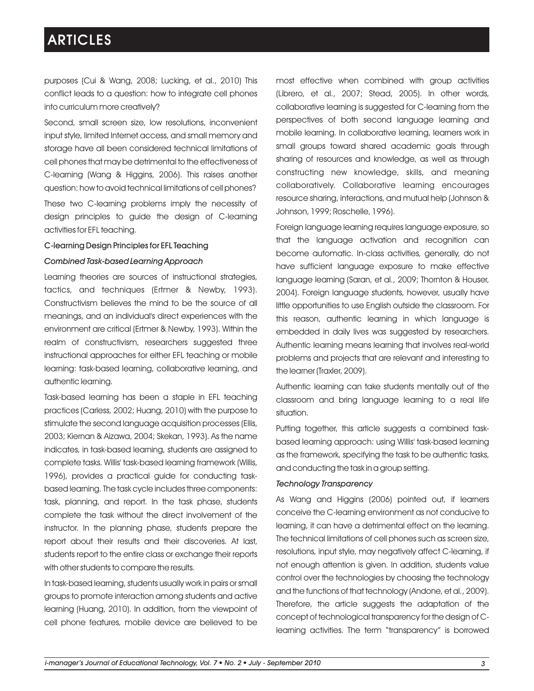purposes (Cui & Wang, 2008; Lucking, et al., 2010) This conflict leads to a question: how to integrate cell phones into curriculum more creatively?

Second, small screen size, low resolutions, inconvenient input style, limited Internet access, and small memory and storage have all been considered technical limitations of cell phones that may be detrimental to the effectiveness of C-learning (Wang & Higgins, 2006). This raises another question: how to avoid technical limitations of cell phones?

These two C-learning problems imply the necessity of design principles to guide the design of C-learning activities for EFL teaching.

#### C-learning Design Principles for EFL Teaching

#### *Combined Task-based Learning Approach*

Learning theories are sources of instructional strategies, tactics, and techniques (Ertmer & Newby, 1993). Constructivism believes the mind to be the source of all meanings, and an individual's direct experiences with the environment are critical (Ertmer & Newby, 1993). Within the realm of constructivism, researchers suggested three instructional approaches for either EFL teaching or mobile learning: task-based learning, collaborative learning, and authentic learning.

Task-based learning has been a staple in EFL teaching practices (Carless, 2002; Huang, 2010) with the purpose to stimulate the second language acquisition processes (Ellis, 2003; Kiernan & Aizawa, 2004; Skekan, 1993). As the name indicates, in task-based learning, students are assigned to complete tasks. Willis' task-based learning framework (Willis, 1996), provides a practical guide for conducting taskbased learning. The task cycle includes three components: task, planning, and report. In the task phase, students complete the task without the direct involvement of the instructor. In the planning phase, students prepare the report about their results and their discoveries. At last, students report to the entire class or exchange their reports with other students to compare the results.

In task-based learning, students usually work in pairs or small groups to promote interaction among students and active learning (Huang, 2010). In addition, from the viewpoint of cell phone features, mobile device are believed to be most effective when combined with group activities (Librero, et al., 2007; Stead, 2005). In other words, collaborative learning is suggested for C-learning from the perspectives of both second language learning and mobile learning. In collaborative learning, learners work in small groups toward shared academic goals through sharing of resources and knowledge, as well as through constructing new knowledge, skills, and meaning collaboratively. Collaborative learning encourages resource sharing, interactions, and mutual help (Johnson & Johnson, 1999; Roschelle, 1996).

Foreign language learning requires language exposure, so that the language activation and recognition can become automatic. In-class activities, generally, do not have sufficient language exposure to make effective language learning (Saran, et al., 2009; Thornton & Houser, 2004). Foreign language students, however, usually have little opportunities to use English outside the classroom. For this reason, authentic learning in which language is embedded in daily lives was suggested by researchers. Authentic learning means learning that involves real-world problems and projects that are relevant and interesting to the learner (Traxler, 2009).

Authentic learning can take students mentally out of the classroom and bring language learning to a real life situation.

Putting together, this article suggests a combined taskbased learning approach: using Willis' task-based learning as the framework, specifying the task to be authentic tasks, and conducting the task in a group setting.

#### *Technology Transparency*

As Wang and Higgins (2006) pointed out, if learners conceive the C-learning environment as not conducive to learning, it can have a detrimental effect on the learning. The technical limitations of cell phones such as screen size, resolutions, input style, may negatively affect C-learning, if not enough attention is given. In addition, students value control over the technologies by choosing the technology and the functions of that technology (Andone, et al., 2009). Therefore, the article suggests the adaptation of the concept of technological transparency for the design of Clearning activities. The term "transparency" is borrowed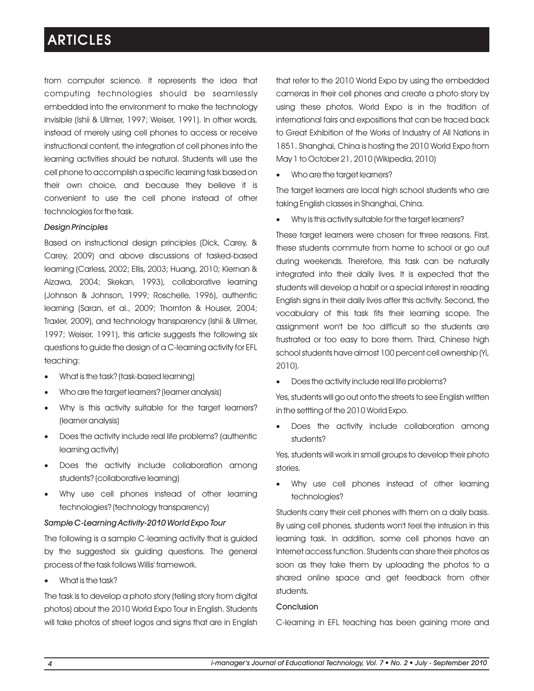from computer science. It represents the idea that computing technologies should be seamlessly embedded into the environment to make the technology invisible (Ishii & Ullmer, 1997; Weiser, 1991). In other words, instead of merely using cell phones to access or receive instructional content, the integration of cell phones into the learning activities should be natural. Students will use the cell phone to accomplish a specific learning task based on their own choice, and because they believe it is convenient to use the cell phone instead of other technologies for the task.

### *Design Principles*

Based on instructional design principles (Dick, Carey, & Carey, 2009) and above discussions of tasked-based learning (Carless, 2002; Ellis, 2003; Huang, 2010; Kiernan & Aizawa, 2004; Skekan, 1993), collaborative learning (Johnson & Johnson, 1999; Roschelle, 1996), authentic learning (Saran, et al., 2009; Thornton & Houser, 2004; Traxler, 2009), and technology transparency (Ishii & Ullmer, 1997; Weiser, 1991), this article suggests the following six questions to guide the design of a C-learning activity for EFL teaching:

- ·What is the task? (task-based learning)
- ·Who are the target learners? (learner analysis)
- ·Why is this activity suitable for the target learners? (learner analysis)
- Does the activity include real life problems? (authentic learning activity)
- Does the activity include collaboration among students? (collaborative learning)
- ·Why use cell phones instead of other learning technologies? (technology transparency)

## *Sample C-Learning Activity-2010 World Expo Tour*

The following is a sample C-learning activity that is guided by the suggested six guiding questions. The general process of the task follows Willis' framework.

What is the task?

The task is to develop a photo story (telling story from digital photos) about the 2010 World Expo Tour in English. Students will take photos of street logos and signs that are in English that refer to the 2010 World Expo by using the embedded cameras in their cell phones and create a photo story by using these photos. World Expo is in the tradition of international fairs and expositions that can be traced back to Great Exhibition of the Works of Industry of All Nations in 1851. Shanghai, China is hosting the 2010 World Expo from May 1 to October 21, 2010 (Wikipedia, 2010)

·Who are the target learners?

The target learners are local high school students who are taking English classes in Shanghai, China.

·Why is this activity suitable for the target learners?

These target learners were chosen for three reasons. First, these students commute from home to school or go out during weekends. Therefore, this task can be naturally integrated into their daily lives. It is expected that the students will develop a habit or a special interest in reading English signs in their daily lives after this activity. Second, the vocabulary of this task fits their learning scope. The assignment won't be too difficult so the students are frustrated or too easy to bore them. Third, Chinese high school students have almost 100 percent cell ownership (Yi, 2010).

·Does the activity include real life problems?

Yes, students will go out onto the streets to see English written in the settting of the 2010 World Expo.

Does the activity include collaboration among students?

Yes, students will work in small groups to develop their photo stories.

·Why use cell phones instead of other learning technologies?

Students carry their cell phones with them on a daily basis. By using cell phones, students won't feel the intrusion in this learning task. In addition, some cell phones have an Internet access function. Students can share their photos as soon as they take them by uploading the photos to a shared online space and get feedback from other students.

#### Conclusion

C-learning in EFL teaching has been gaining more and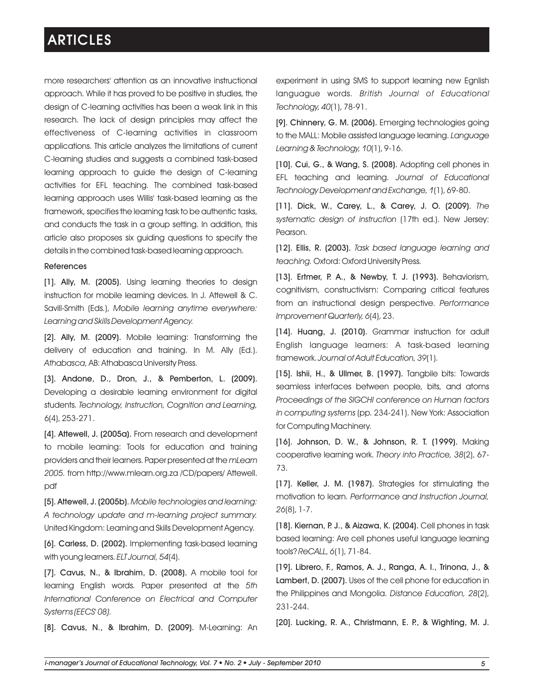more researchers' attention as an innovative instructional approach. While it has proved to be positive in studies, the design of C-learning activities has been a weak link in this research. The lack of design principles may affect the effectiveness of C-learning activities in classroom applications. This article analyzes the limitations of current C-learning studies and suggests a combined task-based learning approach to guide the design of C-learning activities for EFL teaching. The combined task-based learning approach uses Willis' task-based learning as the framework, specifies the learning task to be authentic tasks, and conducts the task in a group setting. In addition, this article also proposes six guiding questions to specify the details in the combined task-based learning approach.

#### References

[1]. Ally, M. (2005). Using learning theories to design instruction for mobile learning devices. In J. Attewell & C. Savill-Smith (Eds.), *Mobile learning anytime everywhere: Learning and Skills Development Agency.*

[2]. Ally, M. (2009). Mobile learning: Transforming the delivery of education and training. In M. Ally (Ed.). *Athabasca,* AB: Athabasca University Press.

[3]. Andone, D., Dron, J., & Pemberton, L. (2009). Developing a desirable learning environment for digital students. *Technology, Instruction, Cognition and Learning,* 6(4), 253-271.

[4]. Attewell, J. (2005a). From research and development to mobile learning: Tools for education and training providers and their learners. Paper presented at the *mLearn 2005.* from http://www.mlearn.org.za /CD/papers/ Attewell. pdf

[5]. Attewell, J. (2005b). *Mobile technologies and learning: A technology update and m-learning project summary.* United Kingdom: Learning and Skills Development Agency.

[6]. Carless, D. (2002). Implementing task-based learning with young learners. *ELT Journal, 54*(4).

[7]. Cavus, N., & Ibrahim, D. (2008). A mobile tool for learning English words. Paper presented at the *5th International Conference on Electrical and Computer Systems (EECS' 08).* 

[8]. Cavus, N., & Ibrahim, D. (2009). M-Learning: An

experiment in using SMS to support learning new Egnlish languague words. *British Journal of Educational Technology, 40*(1), 78-91.

[9]. Chinnery, G. M. (2006). Emerging technologies going to the MALL: Mobile assisted language learning. *Language Learning & Technology, 10*(1), 9-16.

[10]. Cui, G., & Wang, S. (2008). Adopting cell phones in EFL teaching and learning. *Journal of Educational Technology Development and Exchange, 1*(1), 69-80.

[11]. Dick, W., Carey, L., & Carey, J. O. (2009). *The systematic design of instruction* (17th ed.). New Jersey: Pearson.

[12]. Ellis, R. (2003). *Task based language learning and teaching.* Oxford: Oxford University Press.

[13]. Ertmer, P. A., & Newby, T. J. (1993). Behaviorism, cognitivism, constructivism: Comparing critical features from an instructional design perspective. *Performance Improvement Quarterly, 6*(4), 23.

[14]. Huang, J. (2010). Grammar instruction for adult English language learners: A task-based learning framework. *Journal of Adult Education, 39*(1).

[15]. Ishii, H., & Ullmer, B. (1997). Tangbile bits: Towards seamless interfaces between people, bits, and atoms *Proceedings of the SIGCHI conference on Human factors in computing systems* (pp. 234-241). New York: Association for Computing Machinery.

[16]. Johnson, D. W., & Johnson, R. T. (1999). Making cooperative learning work. *Theory into Practice, 38*(2), 67- 73.

[17]. Keller, J. M. (1987). Strategies for stimulating the motivation to learn. *Performance and Instruction Journal, 26*(8), 1-7.

[18]. Kiernan, P. J., & Aizawa, K. (2004). Cell phones in task based learning: Are cell phones useful language learning tools? *ReCALL, 6*(1), 71-84.

[19]. Librero, F., Ramos, A. J., Ranga, A. I., Trinona, J., & Lambert, D. (2007). Uses of the cell phone for education in the Philippines and Mongolia. *Distance Education, 28*(2), 231-244.

[20]. Lucking, R. A., Christmann, E. P., & Wighting, M. J.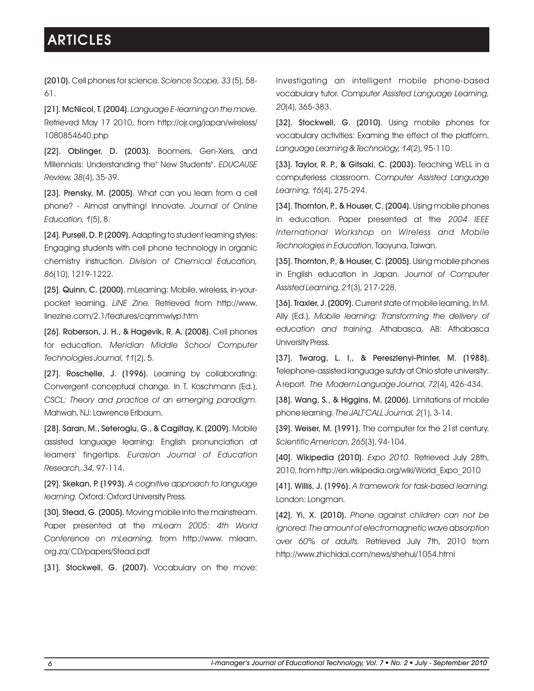(2010). Cell phones for science. *Science Scope, 33* (5), 58- 61.

[21]. McNicol, T. (2004). *Language E-learning on the move.* Retrieved May 17 2010, from http://ojr.org/japan/wireless/ 1080854640.php

[22]. Oblinger, D. (2003). Boomers, Gen-Xers, and Millennials: Understanding the" New Students". *EDUCAUSE Review, 38*(4), 35-39.

[23]. Prensky, M. (2005). What can you learn from a cell phone? - Almost anything! Innovate. *Journal of Online Education, 1*(5), 8.

[24]. Pursell, D. P. (2009). Adapting to student learning styles: Engaging students with cell phone technology in organic chemistry instruction. *Division of Chemical Education, 86*(10), 1219-1222.

[25]. Quinn, C. (2000). mLearning: Mobile, wireless, in-yourpocket learning. *LiNE Zine.* Retrieved from http://www. linezine.com/2.1/features/cqmmwiyp.htm

[26]. Roberson, J. H., & Hagevik, R. A. (2008). Cell phones for education. *Meridian Middle School Computer Technologies Journal, 11*(2), 5.

[27]. Roschelle, J. (1996). Learning by collaborating: Convergent conceptual change. In T. Koschmann (Ed.), *CSCL: Theory and practice of an emerging paradigm.*  Mahwah, NJ: Lawrence Erlbaum.

[28]. Saran, M., Seferoglu, G., & Cagiltay, K. (2009). Mobile assisted language learning: English pronunciation at learners' fingertips. *Eurasian Journal of Education Research, 34,* 97-114.

[29]. Skekan, P. (1993). *A cognitive approach to language learning.* Oxford: Oxford University Press.

[30]. Stead, G. (2005). Moving mobile into the mainstream. Paper presented at the *mLearn 2005: 4th World Conference on mLearning.* from http://www. mlearn. org.za/ CD/papers/Stead.pdf

[31]. Stockwell, G. (2007). Vocabulary on the move:

Investigating an intelligent mobile phone-based vocabulary tutor. *Computer Assisted Language Learning, 20*(4), 365-383.

[32]. Stockwell, G. (2010). Using mobile phones for vocabulary activities: Examing the effect of the platform. *Language Learning & Technology, 14*(2), 95-110.

[33]. Taylor, R. P., & Gitsaki, C. (2003). Teaching WELL in a computerless classroom. *Computer Assisted Language Learning, 16*(4), 275-294.

[34]. Thornton, P., & Houser, C. (2004). Using mobile phones in education. Paper presented at the *2004 IEEE International Workshop on Wireless and Mobile Technologies in Education*, Taoyuna, Taiwan.

[35]. Thornton, P., & Houser, C. (2005). Using mobile phones in English education in Japan. J*ournal of Computer Assisted Learning, 21*(3), 217-228.

[36]. Traxler, J. (2009). Current state of mobile learning. In M. Ally (Ed.), *Mobile learning: Transforming the delivery of education and training.* Athabasca, AB: Athabasca University Press.

[37]. Twarog, L. I., & Pereszlenyi-Printer, M. (1988). Telephone-assisted language sutdy at Ohio state university: A report. *The Modern Language Journal, 72*(4), 426-434.

[38]. Wang, S., & Higgins, M. (2006). Limitations of mobile phone learning. *The JALT CALL Journal, 2*(1), 3-14.

[39]. Weiser, M. (1991). The computer for the 21st century. *Scientific American, 265*(3), 94-104.

[40]. Wikipedia (2010). *Expo 2010.* Retrieved July 28th, 2010, from http://en.wikipedia.org/wiki/World\_Expo\_2010

[41]. Willis, J. (1996). *A framework for task-based learning.*  London: Longman.

[42]. Yi, X. (2010). *Phone against children can not be ignored:The amount of electromagnetic wave absorption over 60% of adults.* Retrieved July 7th, 2010 from http://www.zhichidai.com/news/shehui/1054.html